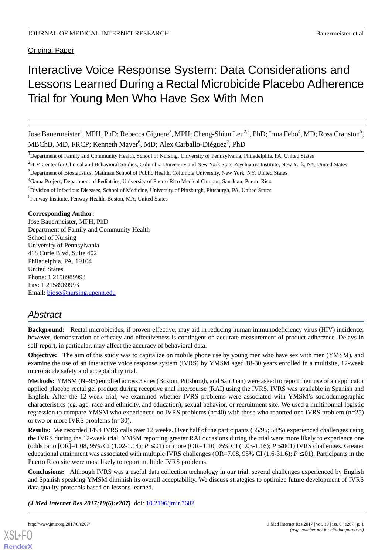Original Paper

# Interactive Voice Response System: Data Considerations and Lessons Learned During a Rectal Microbicide Placebo Adherence Trial for Young Men Who Have Sex With Men

Jose Bauermeister<sup>1</sup>, MPH, PhD; Rebecca Giguere<sup>2</sup>, MPH; Cheng-Shiun Leu<sup>2,3</sup>, PhD; Irma Febo<sup>4</sup>, MD; Ross Cranston<sup>5</sup>, MBChB, MD, FRCP; Kenneth Mayer<sup>6</sup>, MD; Alex Carballo-Diéguez<sup>2</sup>, PhD

<sup>1</sup>Department of Family and Community Health, School of Nursing, University of Pennsylvania, Philadelphia, PA, United States

<sup>3</sup>Department of Biostatistics, Mailman School of Public Health, Columbia University, New York, NY, United States

<sup>4</sup>Gama Project, Department of Pediatrics, University of Puerto Rico Medical Campus, San Juan, Puerto Rico

<sup>5</sup>Division of Infectious Diseases, School of Medicine, University of Pittsburgh, Pittsburgh, PA, United States

6 Fenway Institute, Fenway Health, Boston, MA, United States

#### **Corresponding Author:**

Jose Bauermeister, MPH, PhD Department of Family and Community Health School of Nursing University of Pennsylvania 418 Curie Blvd, Suite 402 Philadelphia, PA, 19104 United States Phone: 1 2158989993 Fax: 1 2158989993 Email: [bjose@nursing.upenn.edu](mailto:bjose@nursing.upenn.edu)

# *Abstract*

**Background:** Rectal microbicides, if proven effective, may aid in reducing human immunodeficiency virus (HIV) incidence; however, demonstration of efficacy and effectiveness is contingent on accurate measurement of product adherence. Delays in self-report, in particular, may affect the accuracy of behavioral data.

**Objective:** The aim of this study was to capitalize on mobile phone use by young men who have sex with men (YMSM), and examine the use of an interactive voice response system (IVRS) by YMSM aged 18-30 years enrolled in a multisite, 12-week microbicide safety and acceptability trial.

**Methods:** YMSM (N=95) enrolled across 3 sites (Boston, Pittsburgh, and San Juan) were asked to report their use of an applicator applied placebo rectal gel product during receptive anal intercourse (RAI) using the IVRS. IVRS was available in Spanish and English. After the 12-week trial, we examined whether IVRS problems were associated with YMSM's sociodemographic characteristics (eg, age, race and ethnicity, and education), sexual behavior, or recruitment site. We used a multinomial logistic regression to compare YMSM who experienced no IVRS problems (n=40) with those who reported one IVRS problem (n=25) or two or more IVRS problems (n=30).

**Results:** We recorded 1494 IVRS calls over 12 weeks. Over half of the participants (55/95; 58%) experienced challenges using the IVRS during the 12-week trial. YMSM reporting greater RAI occasions during the trial were more likely to experience one (odds ratio [OR]=1.08, 95% CI (1.02-1.14); *P* ≤.01) or more (OR=1.10, 95% CI (1.03-1.16); *P* ≤.001) IVRS challenges. Greater educational attainment was associated with multiple IVRS challenges (OR=7.08, 95% CI (1.6-31.6); *P* ≤.01). Participants in the Puerto Rico site were most likely to report multiple IVRS problems.

**Conclusions:** Although IVRS was a useful data collection technology in our trial, several challenges experienced by English and Spanish speaking YMSM diminish its overall acceptability. We discuss strategies to optimize future development of IVRS data quality protocols based on lessons learned.

(*J Med Internet Res 2017;19(6):e207*) doi: **[10.2196/jmir.7682](http://dx.doi.org/10.2196/jmir.7682)** 

[XSL](http://www.w3.org/Style/XSL)•FO **[RenderX](http://www.renderx.com/)**

<sup>&</sup>lt;sup>2</sup>HIV Center for Clinical and Behavioral Studies, Columbia University and New York State Psychiatric Institute, New York, NY, United States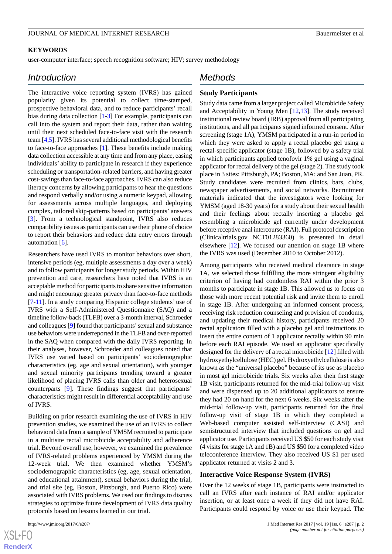#### **KEYWORDS**

user-computer interface; speech recognition software; HIV; survey methodology

# *Introduction*

The interactive voice reporting system (IVRS) has gained popularity given its potential to collect time-stamped, prospective behavioral data, and to reduce participants' recall bias during data collection [\[1](#page-6-0)-[3\]](#page-6-1) For example, participants can call into the system and report their data, rather than waiting until their next scheduled face-to-face visit with the research team [[4](#page-6-2)[,5](#page-6-3)]. IVRS has several additional methodological benefits to face-to-face approaches [[1\]](#page-6-0). These benefits include making data collection accessible at any time and from any place, easing individuals' ability to participate in research if they experience scheduling or transportation-related barriers, and having greater cost-savings than face-to-face approaches. IVRS can also reduce literacy concerns by allowing participants to hear the questions and respond verbally and/or using a numeric keypad, allowing for assessments across multiple languages, and deploying complex, tailored skip-patterns based on participants' answers [[3\]](#page-6-1). From a technological standpoint, IVRS also reduces compatibility issues as participants can use their phone of choice to report their behaviors and reduce data entry errors through automation [\[6](#page-6-4)].

Researchers have used IVRS to monitor behaviors over short, intensive periods (eg, multiple assessments a day over a week) and to follow participants for longer study periods. Within HIV prevention and care, researchers have noted that IVRS is an acceptable method for participants to share sensitive information and might encourage greater privacy than face-to-face methods [[7](#page-6-5)[-11](#page-7-0)]. In a study comparing Hispanic college students' use of IVRS with a Self-Administered Questionnaire (SAQ) and a timeline follow-back (TLFB) over a 3-month interval, Schroeder and colleagues [\[9](#page-6-6)] found that participants'sexual and substance use behaviors were underreported in the TLFB and over-reported in the SAQ when compared with the daily IVRS reporting. In their analyses, however, Schroeder and colleagues noted that IVRS use varied based on participants' sociodemographic characteristics (eg, age and sexual orientation), with younger and sexual minority participants trending toward a greater likelihood of placing IVRS calls than older and heterosexual counterparts [[9\]](#page-6-6). These findings suggest that participants' characteristics might result in differential acceptability and use of IVRS.

Building on prior research examining the use of IVRS in HIV prevention studies, we examined the use of an IVRS to collect behavioral data from a sample of YMSM recruited to participate in a multisite rectal microbicide acceptability and adherence trial. Beyond overall use, however, we examined the prevalence of IVRS-related problems experienced by YMSM during the 12-week trial. We then examined whether YMSM's sociodemographic characteristics (eg, age, sexual orientation, and educational attainment), sexual behaviors during the trial, and trial site (eg, Boston, Pittsburgh, and Puerto Rico) were associated with IVRS problems. We used our findings to discuss strategies to optimize future development of IVRS data quality protocols based on lessons learned in our trial.

[XSL](http://www.w3.org/Style/XSL)•FO **[RenderX](http://www.renderx.com/)**

# *Methods*

#### **Study Participants**

Study data came from a larger project called Microbicide Safety and Acceptability in Young Men [[12](#page-7-1)[,13](#page-7-2)]. The study received institutional review board (IRB) approval from all participating institutions, and all participants signed informed consent. After screening (stage 1A), YMSM participated in a run-in period in which they were asked to apply a rectal placebo gel using a rectal-specific applicator (stage 1B), followed by a safety trial in which participants applied tenofovir 1% gel using a vaginal applicator for rectal delivery of the gel (stage 2). The study took place in 3 sites: Pittsburgh, PA; Boston, MA; and San Juan, PR. Study candidates were recruited from clinics, bars, clubs, newspaper advertisements, and social networks. Recruitment materials indicated that the investigators were looking for YMSM (aged 18-30 years) for a study about their sexual health and their feelings about rectally inserting a placebo gel resembling a microbicide gel currently under development before receptive anal intercourse (RAI). Full protocol description (Clinicaltrials.gov NCT01283360) is presented in detail elsewhere [\[12](#page-7-1)]. We focused our attention on stage 1B where the IVRS was used (December 2010 to October 2012).

Among participants who received medical clearance in stage 1A, we selected those fulfilling the more stringent eligibility criterion of having had condomless RAI within the prior 3 months to participate in stage 1B. This allowed us to focus on those with more recent potential risk and invite them to enroll in stage 1B. After undergoing an informed consent process, receiving risk reduction counseling and provision of condoms, and updating their medical history, participants received 20 rectal applicators filled with a placebo gel and instructions to insert the entire content of 1 applicator rectally within 90 min before each RAI episode. We used an applicator specifically designed for the delivery of a rectal microbicide [[12\]](#page-7-1) filled with hydroxyethylcellulose (HEC) gel. Hydroxyethylcellulose is also known as the "universal placebo" because of its use as placebo in most gel microbicide trials. Six weeks after their first stage 1B visit, participants returned for the mid-trial follow-up visit and were dispensed up to 20 additional applicators to ensure they had 20 on hand for the next 6 weeks. Six weeks after the mid-trial follow-up visit, participants returned for the final follow-up visit of stage 1B in which they completed a Web-based computer assisted self-interview (CASI) and semistructured interview that included questions on gel and applicator use. Participants received US \$50 for each study visit (4 visits for stage 1A and 1B) and US \$50 for a completed video teleconference interview. They also received US \$1 per used applicator returned at visits 2 and 3.

#### **Interactive Voice Response System (IVRS)**

Over the 12 weeks of stage 1B, participants were instructed to call an IVRS after each instance of RAI and/or applicator insertion, or at least once a week if they did not have RAI. Participants could respond by voice or use their keypad. The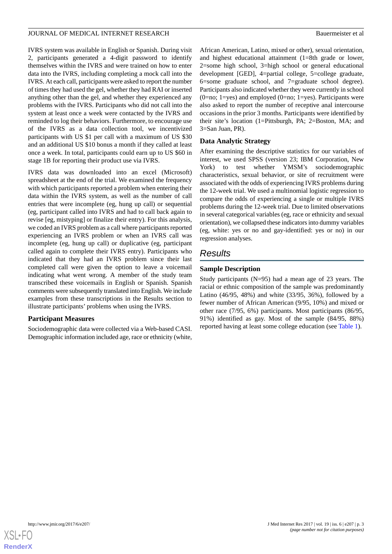IVRS system was available in English or Spanish. During visit 2, participants generated a 4-digit password to identify themselves within the IVRS and were trained on how to enter data into the IVRS, including completing a mock call into the IVRS. At each call, participants were asked to report the number of times they had used the gel, whether they had RAI or inserted anything other than the gel, and whether they experienced any problems with the IVRS. Participants who did not call into the system at least once a week were contacted by the IVRS and reminded to log their behaviors. Furthermore, to encourage use of the IVRS as a data collection tool, we incentivized participants with US \$1 per call with a maximum of US \$30 and an additional US \$10 bonus a month if they called at least once a week. In total, participants could earn up to US \$60 in stage 1B for reporting their product use via IVRS.

IVRS data was downloaded into an excel (Microsoft) spreadsheet at the end of the trial. We examined the frequency with which participants reported a problem when entering their data within the IVRS system, as well as the number of call entries that were incomplete (eg, hung up call) or sequential (eg, participant called into IVRS and had to call back again to revise [eg, mistyping] or finalize their entry). For this analysis, we coded an IVRS problem as a call where participants reported experiencing an IVRS problem or when an IVRS call was incomplete (eg, hung up call) or duplicative (eg, participant called again to complete their IVRS entry). Participants who indicated that they had an IVRS problem since their last completed call were given the option to leave a voicemail indicating what went wrong. A member of the study team transcribed these voicemails in English or Spanish. Spanish comments were subsequently translated into English. We include examples from these transcriptions in the Results section to illustrate participants' problems when using the IVRS.

### **Participant Measures**

Sociodemographic data were collected via a Web-based CASI. Demographic information included age, race or ethnicity (white, African American, Latino, mixed or other), sexual orientation, and highest educational attainment (1=8th grade or lower, 2=some high school, 3=high school or general educational development [GED], 4=partial college, 5=college graduate, 6=some graduate school, and 7=graduate school degree). Participants also indicated whether they were currently in school  $(0=no; 1=yes)$  and employed  $(0=no; 1=yes)$ . Participants were also asked to report the number of receptive anal intercourse occasions in the prior 3 months. Participants were identified by their site's location (1=Pittsburgh, PA; 2=Boston, MA; and 3=San Juan, PR).

### **Data Analytic Strategy**

After examining the descriptive statistics for our variables of interest, we used SPSS (version 23; IBM Corporation, New York) to test whether YMSM's sociodemographic characteristics, sexual behavior, or site of recruitment were associated with the odds of experiencing IVRS problems during the 12-week trial. We used a multinomial logistic regression to compare the odds of experiencing a single or multiple IVRS problems during the 12-week trial. Due to limited observations in several categorical variables (eg, race or ethnicity and sexual orientation), we collapsed these indicators into dummy variables (eg, white: yes or no and gay-identified: yes or no) in our regression analyses.

# *Results*

# **Sample Description**

Study participants (N=95) had a mean age of 23 years. The racial or ethnic composition of the sample was predominantly Latino (46/95, 48%) and white (33/95, 36%), followed by a fewer number of African American (9/95, 10%) and mixed or other race (7/95, 6%) participants. Most participants (86/95, 91%) identified as gay. Most of the sample (84/95, 88%) reported having at least some college education (see [Table 1\)](#page-3-0).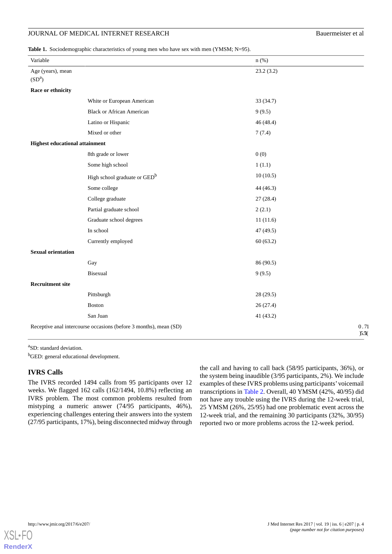<span id="page-3-0"></span>**Table 1.** Sociodemographic characteristics of young men who have sex with men (YMSM; N=95).

| Variable                                |                                                                   | $n$ (%)   |              |
|-----------------------------------------|-------------------------------------------------------------------|-----------|--------------|
| Age (years), mean<br>(SD <sup>a</sup> ) |                                                                   | 23.2(3.2) |              |
| Race or ethnicity                       |                                                                   |           |              |
|                                         | White or European American                                        | 33 (34.7) |              |
|                                         | <b>Black or African American</b>                                  | 9(9.5)    |              |
|                                         | Latino or Hispanic                                                | 46(48.4)  |              |
|                                         | Mixed or other                                                    | 7(7.4)    |              |
| <b>Highest educational attainment</b>   |                                                                   |           |              |
|                                         | 8th grade or lower                                                | 0(0)      |              |
|                                         | Some high school                                                  | 1(1.1)    |              |
|                                         | High school graduate or GED <sup>b</sup>                          | 10(10.5)  |              |
|                                         | Some college                                                      | 44(46.3)  |              |
|                                         | College graduate                                                  | 27(28.4)  |              |
|                                         | Partial graduate school                                           | 2(2.1)    |              |
|                                         | Graduate school degrees                                           | 11(11.6)  |              |
|                                         | In school                                                         | 47 (49.5) |              |
|                                         | Currently employed                                                | 60(63.2)  |              |
| <b>Sexual orientation</b>               |                                                                   |           |              |
|                                         | Gay                                                               | 86 (90.5) |              |
|                                         | Bisexual                                                          | 9(9.5)    |              |
| <b>Recruitment site</b>                 |                                                                   |           |              |
|                                         | Pittsburgh                                                        | 28(29.5)  |              |
|                                         | <b>Boston</b>                                                     | 26(27.4)  |              |
|                                         | San Juan                                                          | 41(43.2)  |              |
|                                         | Receptive anal intercourse occasions (before 3 months), mean (SD) |           | 0.71<br>5.5( |

<sup>a</sup>SD: standard deviation.

<sup>b</sup>GED: general educational development.

#### **IVRS Calls**

The IVRS recorded 1494 calls from 95 participants over 12 weeks. We flagged 162 calls (162/1494, 10.8%) reflecting an IVRS problem. The most common problems resulted from mistyping a numeric answer (74/95 participants, 46%), experiencing challenges entering their answers into the system (27/95 participants, 17%), being disconnected midway through

the call and having to call back (58/95 participants, 36%), or the system being inaudible (3/95 participants, 2%). We include examples of these IVRS problems using participants'voicemail transcriptions in [Table 2.](#page-4-0) Overall, 40 YMSM (42%, 40/95) did not have any trouble using the IVRS during the 12-week trial, 25 YMSM (26%, 25/95) had one problematic event across the 12-week trial, and the remaining 30 participants (32%, 30/95) reported two or more problems across the 12-week period.

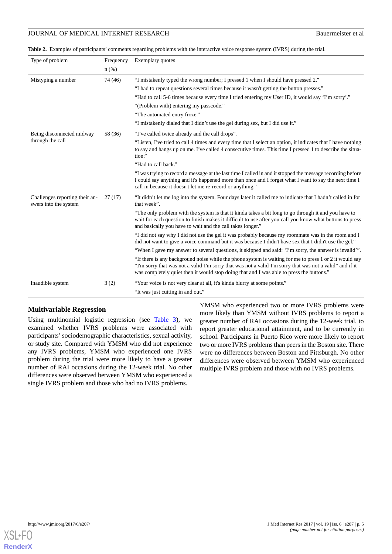<span id="page-4-0"></span>**Table 2.** Examples of participants' comments regarding problems with the interactive voice response system (IVRS) during the trial.

| Type of problem                                         | Frequency | Exemplary quotes                                                                                                                                                                                                                                                                                                |  |  |
|---------------------------------------------------------|-----------|-----------------------------------------------------------------------------------------------------------------------------------------------------------------------------------------------------------------------------------------------------------------------------------------------------------------|--|--|
|                                                         | $n$ (%)   |                                                                                                                                                                                                                                                                                                                 |  |  |
| Mistyping a number                                      | 74 (46)   | "I mistakenly typed the wrong number; I pressed 1 when I should have pressed 2."                                                                                                                                                                                                                                |  |  |
|                                                         |           | "I had to repeat questions several times because it wasn't getting the button presses."                                                                                                                                                                                                                         |  |  |
|                                                         |           | "Had to call 5-6 times because every time I tried entering my User ID, it would say 'I'm sorry'."                                                                                                                                                                                                               |  |  |
|                                                         |           | "(Problem with) entering my passcode."                                                                                                                                                                                                                                                                          |  |  |
|                                                         |           | "The automated entry froze."                                                                                                                                                                                                                                                                                    |  |  |
|                                                         |           | "I mistakenly dialed that I didn't use the gel during sex, but I did use it."                                                                                                                                                                                                                                   |  |  |
| Being disconnected midway                               | 58 (36)   | "I've called twice already and the call drops".                                                                                                                                                                                                                                                                 |  |  |
| through the call                                        |           | "Listen, I've tried to call 4 times and every time that I select an option, it indicates that I have nothing<br>to say and hangs up on me. I've called 4 consecutive times. This time I pressed 1 to describe the situa-<br>tion."                                                                              |  |  |
|                                                         |           | "Had to call back."                                                                                                                                                                                                                                                                                             |  |  |
|                                                         |           | "I was trying to record a message at the last time I called in and it stopped the message recording before<br>I could say anything and it's happened more than once and I forget what I want to say the next time I<br>call in because it doesn't let me re-record or anything."                                |  |  |
| Challenges reporting their an-<br>swers into the system | 27(17)    | "It didn't let me log into the system. Four days later it called me to indicate that I hadn't called in for<br>that week".                                                                                                                                                                                      |  |  |
|                                                         |           | "The only problem with the system is that it kinda takes a bit long to go through it and you have to<br>wait for each question to finish makes it difficult to use after you call you know what buttons to press<br>and basically you have to wait and the call takes longer."                                  |  |  |
|                                                         |           | "I did not say why I did not use the gel it was probably because my roommate was in the room and I<br>did not want to give a voice command but it was because I didn't have sex that I didn't use the gel."                                                                                                     |  |  |
|                                                         |           | "When I gave my answer to several questions, it skipped and said: 'I'm sorry, the answer is invalid'".                                                                                                                                                                                                          |  |  |
|                                                         |           | "If there is any background noise while the phone system is waiting for me to press 1 or 2 it would say<br>"I'm sorry that was not a valid-I'm sorry that was not a valid-I'm sorry that was not a valid" and if it<br>was completely quiet then it would stop doing that and I was able to press the buttons." |  |  |
| Inaudible system                                        | 3(2)      | "Your voice is not very clear at all, it's kinda blurry at some points."                                                                                                                                                                                                                                        |  |  |
|                                                         |           | "It was just cutting in and out."                                                                                                                                                                                                                                                                               |  |  |

#### **Multivariable Regression**

Using multinomial logistic regression (see [Table 3\)](#page-5-0), we examined whether IVRS problems were associated with participants'sociodemographic characteristics, sexual activity, or study site. Compared with YMSM who did not experience any IVRS problems, YMSM who experienced one IVRS problem during the trial were more likely to have a greater number of RAI occasions during the 12-week trial. No other differences were observed between YMSM who experienced a single IVRS problem and those who had no IVRS problems.

YMSM who experienced two or more IVRS problems were more likely than YMSM without IVRS problems to report a greater number of RAI occasions during the 12-week trial, to report greater educational attainment, and to be currently in school. Participants in Puerto Rico were more likely to report two or more IVRS problems than peers in the Boston site. There were no differences between Boston and Pittsburgh. No other differences were observed between YMSM who experienced multiple IVRS problem and those with no IVRS problems.

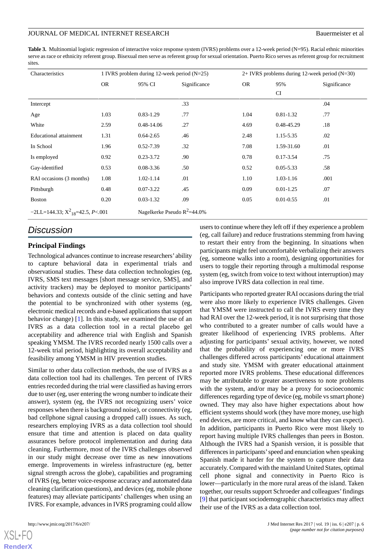<span id="page-5-0"></span>**Table 3.** Multinomial logistic regression of interactive voice response system (IVRS) problems over a 12-week period (N=95). Racial ethnic minorities serve as race or ethnicity referent group. Bisexual men serve as referent group for sexual orientation. Puerto Rico serves as referent group for recruitment sites

| Characteristics                      | 1 IVRS problem during 12-week period $(N=25)$ |               |                                |           | $2+ IVRS$ problems during 12-week period (N=30) |              |  |
|--------------------------------------|-----------------------------------------------|---------------|--------------------------------|-----------|-------------------------------------------------|--------------|--|
|                                      | <b>OR</b>                                     | 95% CI        | Significance                   | <b>OR</b> | 95%                                             | Significance |  |
|                                      |                                               |               |                                |           | CI                                              |              |  |
| Intercept                            |                                               |               | .33                            |           |                                                 | .04          |  |
| Age                                  | 1.03                                          | $0.83 - 1.29$ | .77                            | 1.04      | $0.81 - 1.32$                                   | .77          |  |
| White                                | 2.59                                          | 0.48-14.06    | .27                            | 4.69      | 0.48-45.29                                      | .18          |  |
| <b>Educational attainment</b>        | 1.31                                          | $0.64 - 2.65$ | .46                            | 2.48      | 1.15-5.35                                       | .02          |  |
| In School                            | 1.96                                          | 0.52-7.39     | .32                            | 7.08      | 1.59-31.60                                      | .01          |  |
| Is employed                          | 0.92                                          | $0.23 - 3.72$ | .90                            | 0.78      | $0.17 - 3.54$                                   | .75          |  |
| Gay-identified                       | 0.53                                          | 0.08-3.36     | .50                            | 0.52      | $0.05 - 5.33$                                   | .58          |  |
| RAI occasions (3 months)             | 1.08                                          | 1.02-1.14     | .01                            | 1.10      | $1.03 - 1.16$                                   | .001         |  |
| Pittsburgh                           | 0.48                                          | $0.07 - 3.22$ | .45                            | 0.09      | $0.01 - 1.25$                                   | .07          |  |
| <b>Boston</b>                        | 0.20                                          | $0.03 - 1.32$ | .09                            | 0.05      | $0.01 - 0.55$                                   | .01          |  |
| $-2LL=144.33; X^2_{18}=42.5, P<.001$ |                                               |               | Nagelkerke Pseudo $R^2$ =44.0% |           |                                                 |              |  |

# *Discussion*

#### **Principal Findings**

Technological advances continue to increase researchers' ability to capture behavioral data in experimental trials and observational studies. These data collection technologies (eg, IVRS, SMS text messages [short message service, SMS], and activity trackers) may be deployed to monitor participants' behaviors and contexts outside of the clinic setting and have the potential to be synchronized with other systems (eg, electronic medical records and e-based applications that support behavior change) [[1](#page-6-0)]. In this study, we examined the use of an IVRS as a data collection tool in a rectal placebo gel acceptability and adherence trial with English and Spanish speaking YMSM. The IVRS recorded nearly 1500 calls over a 12-week trial period, highlighting its overall acceptability and feasibility among YMSM in HIV prevention studies.

Similar to other data collection methods, the use of IVRS as a data collection tool had its challenges. Ten percent of IVRS entries recorded during the trial were classified as having errors due to user (eg, user entering the wrong number to indicate their answer), system (eg, the IVRS not recognizing users' voice responses when there is background noise), or connectivity (eg, bad cellphone signal causing a dropped call) issues. As such, researchers employing IVRS as a data collection tool should ensure that time and attention is placed on data quality assurances before protocol implementation and during data cleaning. Furthermore, most of the IVRS challenges observed in our study might decrease over time as new innovations emerge. Improvements in wireless infrastructure (eg, better signal strength across the globe), capabilities and programing of IVRS (eg, better voice-response accuracy and automated data cleaning clarification questions), and devices (eg, mobile phone features) may alleviate participants' challenges when using an IVRS. For example, advances in IVRS programing could allow

[XSL](http://www.w3.org/Style/XSL)•FO **[RenderX](http://www.renderx.com/)**

users to continue where they left off if they experience a problem (eg, call failure) and reduce frustrations stemming from having to restart their entry from the beginning. In situations when participants might feel uncomfortable verbalizing their answers (eg, someone walks into a room), designing opportunities for users to toggle their reporting through a multimodal response system (eg, switch from voice to text without interruption) may also improve IVRS data collection in real time.

Participants who reported greater RAI occasions during the trial were also more likely to experience IVRS challenges. Given that YMSM were instructed to call the IVRS every time they had RAI over the 12-week period, it is not surprising that those who contributed to a greater number of calls would have a greater likelihood of experiencing IVRS problems. After adjusting for participants' sexual activity, however, we noted that the probability of experiencing one or more IVRS challenges differed across participants' educational attainment and study site. YMSM with greater educational attainment reported more IVRS problems. These educational differences may be attributable to greater assertiveness to note problems with the system, and/or may be a proxy for socioeconomic differences regarding type of device (eg, mobile vs smart phone) owned. They may also have higher expectations about how efficient systems should work (they have more money, use high end devices, are more critical, and know what they can expect). In addition, participants in Puerto Rico were most likely to report having multiple IVRS challenges than peers in Boston. Although the IVRS had a Spanish version, it is possible that differences in participants'speed and enunciation when speaking Spanish made it harder for the system to capture their data accurately. Compared with the mainland United States, optimal cell phone signal and connectivity in Puerto Rico is lower—particularly in the more rural areas of the island. Taken together, our results support Schroeder and colleagues'findings [[9\]](#page-6-6) that participant sociodemographic characteristics may affect their use of the IVRS as a data collection tool.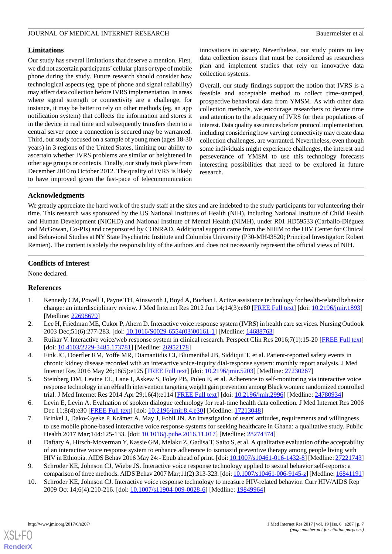#### **Limitations**

Our study has several limitations that deserve a mention. First, we did not ascertain participants'cellular plans or type of mobile phone during the study. Future research should consider how technological aspects (eg, type of phone and signal reliability) may affect data collection before IVRS implementation. In areas where signal strength or connectivity are a challenge, for instance, it may be better to rely on other methods (eg, an app notification system) that collects the information and stores it in the device in real time and subsequently transfers them to a central server once a connection is secured may be warranted. Third, our study focused on a sample of young men (ages 18-30 years) in 3 regions of the United States, limiting our ability to ascertain whether IVRS problems are similar or heightened in other age groups or contexts. Finally, our study took place from December 2010 to October 2012. The quality of IVRS is likely to have improved given the fast-pace of telecommunication

innovations in society. Nevertheless, our study points to key data collection issues that must be considered as researchers plan and implement studies that rely on innovative data collection systems.

Overall, our study findings support the notion that IVRS is a feasible and acceptable method to collect time-stamped, prospective behavioral data from YMSM. As with other data collection methods, we encourage researchers to devote time and attention to the adequacy of IVRS for their populations of interest. Data quality assurances before protocol implementation, including considering how varying connectivity may create data collection challenges, are warranted. Nevertheless, even though some individuals might experience challenges, the interest and perseverance of YMSM to use this technology forecasts interesting possibilities that need to be explored in future research.

#### **Acknowledgments**

We greatly appreciate the hard work of the study staff at the sites and are indebted to the study participants for volunteering their time. This research was sponsored by the US National Institutes of Health (NIH), including National Institute of Child Health and Human Development (NICHD) and National Institute of Mental Health (NIMH), under R01 HD59533 (Carballo-Diéguez and McGowan, Co-PIs) and cosponsored by CONRAD. Additional support came from the NIHM to the HIV Center for Clinical and Behavioral Studies at NY State Psychiatric Institute and Columbia University (P30-MH43520; Principal Investigator: Robert Remien). The content is solely the responsibility of the authors and does not necessarily represent the official views of NIH.

#### **Conflicts of Interest**

<span id="page-6-0"></span>None declared.

#### **References**

- <span id="page-6-1"></span>1. Kennedy CM, Powell J, Payne TH, Ainsworth J, Boyd A, Buchan I. Active assistance technology for health-related behavior change: an interdisciplinary review. J Med Internet Res 2012 Jun 14;14(3):e80 [[FREE Full text](http://www.jmir.org/2012/3/e80/)] [doi: [10.2196/jmir.1893](http://dx.doi.org/10.2196/jmir.1893)] [Medline: [22698679](http://www.ncbi.nlm.nih.gov/entrez/query.fcgi?cmd=Retrieve&db=PubMed&list_uids=22698679&dopt=Abstract)]
- <span id="page-6-2"></span>2. Lee H, Friedman ME, Cukor P, Ahern D. Interactive voice response system (IVRS) in health care services. Nursing Outlook 2003 Dec;51(6):277-283. [doi: [10.1016/S0029-6554\(03\)00161-1](http://dx.doi.org/10.1016/S0029-6554(03)00161-1)] [Medline: [14688763\]](http://www.ncbi.nlm.nih.gov/entrez/query.fcgi?cmd=Retrieve&db=PubMed&list_uids=14688763&dopt=Abstract)
- <span id="page-6-3"></span>3. Ruikar V. Interactive voice/web response system in clinical research. Perspect Clin Res 2016;7(1):15-20 [[FREE Full text](http://www.picronline.org/article.asp?issn=2229-3485;year=2016;volume=7;issue=1;spage=15;epage=20;aulast=Ruikar)] [doi: [10.4103/2229-3485.173781](http://dx.doi.org/10.4103/2229-3485.173781)] [Medline: [26952178\]](http://www.ncbi.nlm.nih.gov/entrez/query.fcgi?cmd=Retrieve&db=PubMed&list_uids=26952178&dopt=Abstract)
- <span id="page-6-4"></span>4. Fink JC, Doerfler RM, Yoffe MR, Diamantidis CJ, Blumenthal JB, Siddiqui T, et al. Patient-reported safety events in chronic kidney disease recorded with an interactive voice-inquiry dial-response system: monthly report analysis. J Med Internet Res 2016 May 26;18(5):e125 [\[FREE Full text\]](http://www.jmir.org/2016/5/e125/) [doi: [10.2196/jmir.5203\]](http://dx.doi.org/10.2196/jmir.5203) [Medline: [27230267\]](http://www.ncbi.nlm.nih.gov/entrez/query.fcgi?cmd=Retrieve&db=PubMed&list_uids=27230267&dopt=Abstract)
- <span id="page-6-5"></span>5. Steinberg DM, Levine EL, Lane I, Askew S, Foley PB, Puleo E, et al. Adherence to self-monitoring via interactive voice response technology in an eHealth intervention targeting weight gain prevention among Black women: randomized controlled trial. J Med Internet Res 2014 Apr 29;16(4):e114 [[FREE Full text](http://www.jmir.org/2014/4/e114/)] [doi: [10.2196/jmir.2996](http://dx.doi.org/10.2196/jmir.2996)] [Medline: [24780934](http://www.ncbi.nlm.nih.gov/entrez/query.fcgi?cmd=Retrieve&db=PubMed&list_uids=24780934&dopt=Abstract)]
- 6. Levin E, Levin A. Evaluation of spoken dialogue technology for real-time health data collection. J Med Internet Res 2006 Dec 11;8(4):e30 [[FREE Full text](http://www.jmir.org/2006/4/e30/)] [doi: [10.2196/jmir.8.4.e30\]](http://dx.doi.org/10.2196/jmir.8.4.e30) [Medline: [17213048](http://www.ncbi.nlm.nih.gov/entrez/query.fcgi?cmd=Retrieve&db=PubMed&list_uids=17213048&dopt=Abstract)]
- <span id="page-6-6"></span>7. Brinkel J, Dako-Gyeke P, Krämer A, May J, Fobil JN. An investigation of users' attitudes, requirements and willingness to use mobile phone-based interactive voice response systems for seeking healthcare in Ghana: a qualitative study. Public Health 2017 Mar;144:125-133. [doi: [10.1016/j.puhe.2016.11.017\]](http://dx.doi.org/10.1016/j.puhe.2016.11.017) [Medline: [28274374](http://www.ncbi.nlm.nih.gov/entrez/query.fcgi?cmd=Retrieve&db=PubMed&list_uids=28274374&dopt=Abstract)]
- 8. Daftary A, Hirsch-Moverman Y, Kassie GM, Melaku Z, Gadisa T, Saito S, et al. A qualitative evaluation of the acceptability of an interactive voice response system to enhance adherence to isoniazid preventive therapy among people living with HIV in Ethiopia. AIDS Behav 2016 May 24:- Epub ahead of print. [doi: [10.1007/s10461-016-1432-8\]](http://dx.doi.org/10.1007/s10461-016-1432-8) [Medline: [27221743](http://www.ncbi.nlm.nih.gov/entrez/query.fcgi?cmd=Retrieve&db=PubMed&list_uids=27221743&dopt=Abstract)]
- 9. Schroder KE, Johnson CJ, Wiebe JS. Interactive voice response technology applied to sexual behavior self-reports: a comparison of three methods. AIDS Behav 2007 Mar;11(2):313-323. [doi: [10.1007/s10461-006-9145-z](http://dx.doi.org/10.1007/s10461-006-9145-z)] [Medline: [16841191](http://www.ncbi.nlm.nih.gov/entrez/query.fcgi?cmd=Retrieve&db=PubMed&list_uids=16841191&dopt=Abstract)]
- 10. Schroder KE, Johnson CJ. Interactive voice response technology to measure HIV-related behavior. Curr HIV/AIDS Rep 2009 Oct 14;6(4):210-216. [doi: [10.1007/s11904-009-0028-6](http://dx.doi.org/10.1007/s11904-009-0028-6)] [Medline: [19849964\]](http://www.ncbi.nlm.nih.gov/entrez/query.fcgi?cmd=Retrieve&db=PubMed&list_uids=19849964&dopt=Abstract)

[XSL](http://www.w3.org/Style/XSL)•FO **[RenderX](http://www.renderx.com/)**